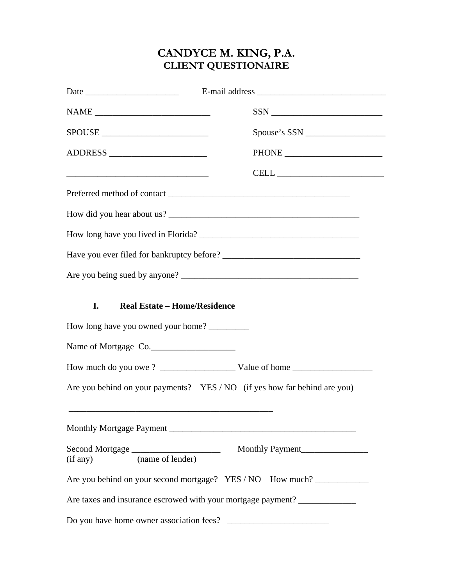## **CANDYCE M. KING, P.A. CLIENT QUESTIONAIRE**

| $\label{eq:NAME} \begin{minipage}{0.9\linewidth} \textbf{NAME} \begin{minipage}{0.9\linewidth} \textbf{NAME} \end{minipage} \begin{minipage}{0.9\linewidth} \textbf{NAME} \end{minipage} \begin{minipage}{0.9\linewidth} \textbf{NAME} \end{minipage} \begin{minipage}{0.9\linewidth} \textbf{NAME} \end{minipage} \begin{minipage}{0.9\linewidth} \textbf{NAME} \end{minipage} \begin{minipage}{0.9\linewidth} \textbf{NAME} \end{minipage} \begin{minipage}{0.9\linewidth} \textbf{NAME} \end{minipage} \begin{minipage}{0.9\$ | $SSN$                                                                                                                                                                                                                                                                                                                                                                                                                                                                                     |
|----------------------------------------------------------------------------------------------------------------------------------------------------------------------------------------------------------------------------------------------------------------------------------------------------------------------------------------------------------------------------------------------------------------------------------------------------------------------------------------------------------------------------------|-------------------------------------------------------------------------------------------------------------------------------------------------------------------------------------------------------------------------------------------------------------------------------------------------------------------------------------------------------------------------------------------------------------------------------------------------------------------------------------------|
| SPOUSE                                                                                                                                                                                                                                                                                                                                                                                                                                                                                                                           |                                                                                                                                                                                                                                                                                                                                                                                                                                                                                           |
| ADDRESS                                                                                                                                                                                                                                                                                                                                                                                                                                                                                                                          |                                                                                                                                                                                                                                                                                                                                                                                                                                                                                           |
|                                                                                                                                                                                                                                                                                                                                                                                                                                                                                                                                  | $\label{eq:cell} \textbf{CELL} \xrightarrow{\hspace{15mm}} \textcolor{red}{\textbf{[1]}\hspace{10mm}} \textbf{[2]}\xrightarrow{\hspace{15mm}} \textcolor{red}{\textbf{[3]}\hspace{10mm}} \textbf{[4]}\xrightarrow{\hspace{15mm}} \textcolor{red}{\textbf{[4]}\hspace{10mm}} \textbf{[5]}\xrightarrow{\hspace{15mm}} \textcolor{red}{\textbf{[5]}\hspace{10mm}} \textbf{[6]}\xrightarrow{\hspace{15mm}} \textcolor{red}{\textbf{[6]}\hspace{10mm}} \textcolor{red}{\textbf{[6]}\hspace{10$ |
|                                                                                                                                                                                                                                                                                                                                                                                                                                                                                                                                  |                                                                                                                                                                                                                                                                                                                                                                                                                                                                                           |
|                                                                                                                                                                                                                                                                                                                                                                                                                                                                                                                                  |                                                                                                                                                                                                                                                                                                                                                                                                                                                                                           |
|                                                                                                                                                                                                                                                                                                                                                                                                                                                                                                                                  |                                                                                                                                                                                                                                                                                                                                                                                                                                                                                           |
|                                                                                                                                                                                                                                                                                                                                                                                                                                                                                                                                  |                                                                                                                                                                                                                                                                                                                                                                                                                                                                                           |
|                                                                                                                                                                                                                                                                                                                                                                                                                                                                                                                                  |                                                                                                                                                                                                                                                                                                                                                                                                                                                                                           |
| <b>Real Estate - Home/Residence</b><br>I.                                                                                                                                                                                                                                                                                                                                                                                                                                                                                        |                                                                                                                                                                                                                                                                                                                                                                                                                                                                                           |
| How long have you owned your home?                                                                                                                                                                                                                                                                                                                                                                                                                                                                                               |                                                                                                                                                                                                                                                                                                                                                                                                                                                                                           |
| Name of Mortgage Co.                                                                                                                                                                                                                                                                                                                                                                                                                                                                                                             |                                                                                                                                                                                                                                                                                                                                                                                                                                                                                           |
|                                                                                                                                                                                                                                                                                                                                                                                                                                                                                                                                  |                                                                                                                                                                                                                                                                                                                                                                                                                                                                                           |
|                                                                                                                                                                                                                                                                                                                                                                                                                                                                                                                                  | Are you behind on your payments? YES / NO (if yes how far behind are you)                                                                                                                                                                                                                                                                                                                                                                                                                 |
|                                                                                                                                                                                                                                                                                                                                                                                                                                                                                                                                  |                                                                                                                                                                                                                                                                                                                                                                                                                                                                                           |
| (name of lender)<br>(if any)                                                                                                                                                                                                                                                                                                                                                                                                                                                                                                     | Monthly Payment                                                                                                                                                                                                                                                                                                                                                                                                                                                                           |
|                                                                                                                                                                                                                                                                                                                                                                                                                                                                                                                                  | Are you behind on your second mortgage? YES / NO How much?                                                                                                                                                                                                                                                                                                                                                                                                                                |
|                                                                                                                                                                                                                                                                                                                                                                                                                                                                                                                                  | Are taxes and insurance escrowed with your mortgage payment? _____________                                                                                                                                                                                                                                                                                                                                                                                                                |
| Do you have home owner association fees?                                                                                                                                                                                                                                                                                                                                                                                                                                                                                         |                                                                                                                                                                                                                                                                                                                                                                                                                                                                                           |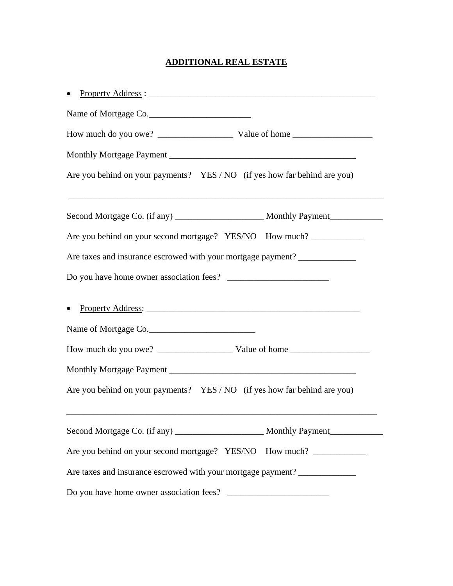## **ADDITIONAL REAL ESTATE**

| Name of Mortgage Co.                                                       |  |  |  |  |  |
|----------------------------------------------------------------------------|--|--|--|--|--|
|                                                                            |  |  |  |  |  |
|                                                                            |  |  |  |  |  |
| Are you behind on your payments? YES / NO (if yes how far behind are you)  |  |  |  |  |  |
|                                                                            |  |  |  |  |  |
| Are you behind on your second mortgage? YES/NO How much?                   |  |  |  |  |  |
| Are taxes and insurance escrowed with your mortgage payment? _____________ |  |  |  |  |  |
|                                                                            |  |  |  |  |  |
| Name of Mortgage Co.                                                       |  |  |  |  |  |
|                                                                            |  |  |  |  |  |
|                                                                            |  |  |  |  |  |
| Are you behind on your payments? YES / NO (if yes how far behind are you)  |  |  |  |  |  |
|                                                                            |  |  |  |  |  |
| Are you behind on your second mortgage? YES/NO How much?                   |  |  |  |  |  |
| Are taxes and insurance escrowed with your mortgage payment? _____________ |  |  |  |  |  |
|                                                                            |  |  |  |  |  |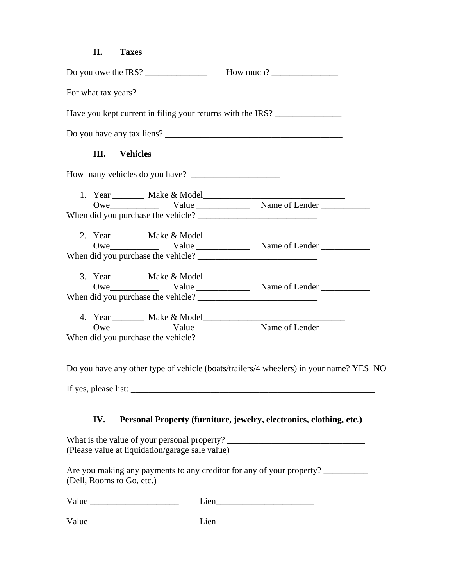#### **II. Taxes**

|                      | Have you kept current in filing your returns with the IRS? |  |
|----------------------|------------------------------------------------------------|--|
|                      |                                                            |  |
| <b>III.</b> Vehicles |                                                            |  |
|                      |                                                            |  |
|                      |                                                            |  |
|                      |                                                            |  |
|                      |                                                            |  |
|                      |                                                            |  |
|                      |                                                            |  |
|                      |                                                            |  |
|                      |                                                            |  |
|                      |                                                            |  |
|                      |                                                            |  |
|                      |                                                            |  |
|                      |                                                            |  |
|                      |                                                            |  |

Do you have any other type of vehicle (boats/trailers/4 wheelers) in your name? YES NO

If yes, please list:  $\frac{1}{2}$  =  $\frac{1}{2}$  =  $\frac{1}{2}$  =  $\frac{1}{2}$  =  $\frac{1}{2}$  =  $\frac{1}{2}$  =  $\frac{1}{2}$  =  $\frac{1}{2}$  =  $\frac{1}{2}$  =  $\frac{1}{2}$  =  $\frac{1}{2}$  =  $\frac{1}{2}$  =  $\frac{1}{2}$  =  $\frac{1}{2}$  =  $\frac{1}{2}$  =  $\frac{1}{2}$  =  $\frac{1}{2}$ 

### **IV. Personal Property (furniture, jewelry, electronics, clothing, etc.)**

What is the value of your personal property? \_\_\_\_\_\_\_\_\_\_\_\_\_\_\_\_\_\_\_\_\_\_\_\_\_\_\_\_\_\_\_\_\_\_\_ (Please value at liquidation/garage sale value)

Are you making any payments to any creditor for any of your property? \_\_\_\_\_\_\_\_\_\_ (Dell, Rooms to Go, etc.)

| $V_2$<br>. . |  |
|--------------|--|
|              |  |

 $Value$   $Line$   $Line$   $Line$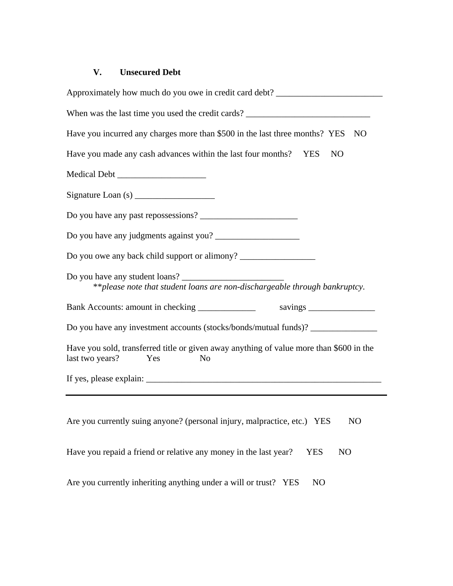## **V. Unsecured Debt**

|                 |     |                | Approximately how much do you owe in credit card debt? __________________________       |            |                |    |
|-----------------|-----|----------------|-----------------------------------------------------------------------------------------|------------|----------------|----|
|                 |     |                | When was the last time you used the credit cards? _______________________________       |            |                |    |
|                 |     |                | Have you incurred any charges more than \$500 in the last three months? YES             |            |                | NO |
|                 |     |                | Have you made any cash advances within the last four months? YES                        |            | <b>NO</b>      |    |
|                 |     |                |                                                                                         |            |                |    |
|                 |     |                |                                                                                         |            |                |    |
|                 |     |                |                                                                                         |            |                |    |
|                 |     |                |                                                                                         |            |                |    |
|                 |     |                | Do you owe any back child support or alimony? __________________________________        |            |                |    |
|                 |     |                | **please note that student loans are non-dischargeable through bankruptcy.              |            |                |    |
|                 |     |                |                                                                                         |            |                |    |
|                 |     |                | Do you have any investment accounts (stocks/bonds/mutual funds)? _______________        |            |                |    |
| last two years? | Yes | N <sub>o</sub> | Have you sold, transferred title or given away anything of value more than \$600 in the |            |                |    |
|                 |     |                |                                                                                         |            |                |    |
|                 |     |                |                                                                                         |            |                |    |
|                 |     |                | Are you currently suing anyone? (personal injury, malpractice, etc.) YES                |            | NO             |    |
|                 |     |                | Have you repaid a friend or relative any money in the last year?                        | <b>YES</b> | N <sub>O</sub> |    |
|                 |     |                | Are you currently inheriting anything under a will or trust? YES                        | NO         |                |    |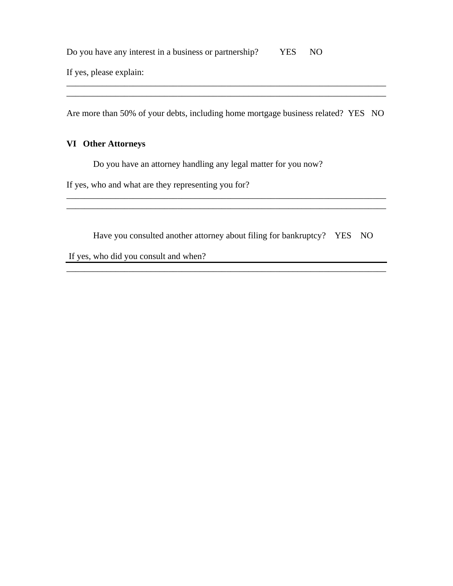Do you have any interest in a business or partnership? YES NO

If yes, please explain:

Are more than 50% of your debts, including home mortgage business related? YES NO

\_\_\_\_\_\_\_\_\_\_\_\_\_\_\_\_\_\_\_\_\_\_\_\_\_\_\_\_\_\_\_\_\_\_\_\_\_\_\_\_\_\_\_\_\_\_\_\_\_\_\_\_\_\_\_\_\_\_\_\_\_\_\_\_\_\_\_\_\_\_\_\_ \_\_\_\_\_\_\_\_\_\_\_\_\_\_\_\_\_\_\_\_\_\_\_\_\_\_\_\_\_\_\_\_\_\_\_\_\_\_\_\_\_\_\_\_\_\_\_\_\_\_\_\_\_\_\_\_\_\_\_\_\_\_\_\_\_\_\_\_\_\_\_\_

#### **VI Other Attorneys**

Do you have an attorney handling any legal matter for you now?

If yes, who and what are they representing you for?

Have you consulted another attorney about filing for bankruptcy? YES NO

\_\_\_\_\_\_\_\_\_\_\_\_\_\_\_\_\_\_\_\_\_\_\_\_\_\_\_\_\_\_\_\_\_\_\_\_\_\_\_\_\_\_\_\_\_\_\_\_\_\_\_\_\_\_\_\_\_\_\_\_\_\_\_\_\_\_\_\_\_\_\_\_

\_\_\_\_\_\_\_\_\_\_\_\_\_\_\_\_\_\_\_\_\_\_\_\_\_\_\_\_\_\_\_\_\_\_\_\_\_\_\_\_\_\_\_\_\_\_\_\_\_\_\_\_\_\_\_\_\_\_\_\_\_\_\_\_\_\_\_\_\_\_\_\_ \_\_\_\_\_\_\_\_\_\_\_\_\_\_\_\_\_\_\_\_\_\_\_\_\_\_\_\_\_\_\_\_\_\_\_\_\_\_\_\_\_\_\_\_\_\_\_\_\_\_\_\_\_\_\_\_\_\_\_\_\_\_\_\_\_\_\_\_\_\_\_\_

If yes, who did you consult and when?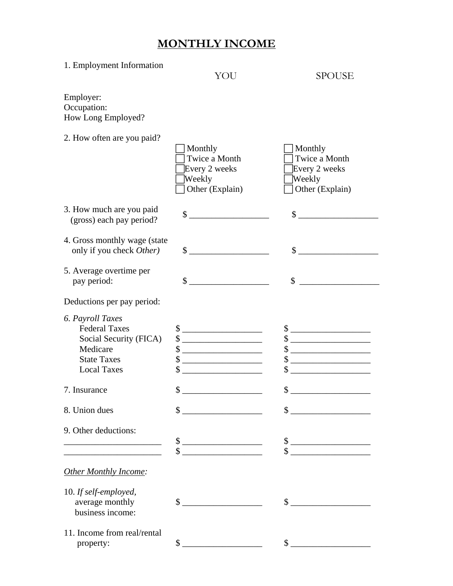# **MONTHLY INCOME**

| 1. Employment Information                                                                                                  | YOU                                                                                                                                                                                                                                                                                                                           | <b>SPOUSE</b>                                                                                                                                                                                                                                                                                                                                                       |
|----------------------------------------------------------------------------------------------------------------------------|-------------------------------------------------------------------------------------------------------------------------------------------------------------------------------------------------------------------------------------------------------------------------------------------------------------------------------|---------------------------------------------------------------------------------------------------------------------------------------------------------------------------------------------------------------------------------------------------------------------------------------------------------------------------------------------------------------------|
| Employer:<br>Occupation:<br>How Long Employed?                                                                             |                                                                                                                                                                                                                                                                                                                               |                                                                                                                                                                                                                                                                                                                                                                     |
| 2. How often are you paid?                                                                                                 | Monthly<br>Twice a Month<br>Every 2 weeks<br>Weekly<br>Other (Explain)                                                                                                                                                                                                                                                        | Monthly<br>Twice a Month<br>Every 2 weeks<br>Weekly<br>Other (Explain)                                                                                                                                                                                                                                                                                              |
| 3. How much are you paid<br>(gross) each pay period?                                                                       | \$                                                                                                                                                                                                                                                                                                                            | $\mathbb{S}^-$                                                                                                                                                                                                                                                                                                                                                      |
| 4. Gross monthly wage (state)<br>only if you check Other)                                                                  | $\mathbb{S}$                                                                                                                                                                                                                                                                                                                  | $\sim$                                                                                                                                                                                                                                                                                                                                                              |
| 5. Average overtime per<br>pay period:                                                                                     | \$                                                                                                                                                                                                                                                                                                                            | \$                                                                                                                                                                                                                                                                                                                                                                  |
| Deductions per pay period:                                                                                                 |                                                                                                                                                                                                                                                                                                                               |                                                                                                                                                                                                                                                                                                                                                                     |
| 6. Payroll Taxes<br><b>Federal Taxes</b><br>Social Security (FICA)<br>Medicare<br><b>State Taxes</b><br><b>Local Taxes</b> | $\mathbb{S}^-$<br>$\frac{\text{S}}{\text{S}}$<br>\$<br>\$<br>\$                                                                                                                                                                                                                                                               | $\frac{1}{2}$<br>$\frac{1}{2}$<br>\$<br><u> 1999 - Johann Barn, mars and de Barn, mars and de Barn, mars and de Barn, mars and de Barn, mars and de Barn</u><br>\$<br>\$                                                                                                                                                                                            |
| 7. Insurance                                                                                                               | \$                                                                                                                                                                                                                                                                                                                            | \$                                                                                                                                                                                                                                                                                                                                                                  |
| 8. Union dues                                                                                                              | $\frac{\text{S}}{\text{S}}$                                                                                                                                                                                                                                                                                                   | $\begin{picture}(20,10) \put(0,0){\vector(1,0){100}} \put(15,0){\vector(1,0){100}} \put(15,0){\vector(1,0){100}} \put(15,0){\vector(1,0){100}} \put(15,0){\vector(1,0){100}} \put(15,0){\vector(1,0){100}} \put(15,0){\vector(1,0){100}} \put(15,0){\vector(1,0){100}} \put(15,0){\vector(1,0){100}} \put(15,0){\vector(1,0){100}} \put(15,0){\vector(1,0){100}} \$ |
| 9. Other deductions:                                                                                                       | $\sim$<br>$\frac{1}{2}$ $\frac{1}{2}$ $\frac{1}{2}$ $\frac{1}{2}$ $\frac{1}{2}$ $\frac{1}{2}$ $\frac{1}{2}$ $\frac{1}{2}$ $\frac{1}{2}$ $\frac{1}{2}$ $\frac{1}{2}$ $\frac{1}{2}$ $\frac{1}{2}$ $\frac{1}{2}$ $\frac{1}{2}$ $\frac{1}{2}$ $\frac{1}{2}$ $\frac{1}{2}$ $\frac{1}{2}$ $\frac{1}{2}$ $\frac{1}{2}$ $\frac{1}{2}$ | $\frac{1}{2}$<br>$\frac{1}{2}$                                                                                                                                                                                                                                                                                                                                      |
| Other Monthly Income:                                                                                                      |                                                                                                                                                                                                                                                                                                                               |                                                                                                                                                                                                                                                                                                                                                                     |
| 10. If self-employed,<br>average monthly<br>business income:                                                               | $\frac{1}{2}$ $\frac{1}{2}$ $\frac{1}{2}$ $\frac{1}{2}$ $\frac{1}{2}$ $\frac{1}{2}$ $\frac{1}{2}$ $\frac{1}{2}$ $\frac{1}{2}$ $\frac{1}{2}$ $\frac{1}{2}$ $\frac{1}{2}$ $\frac{1}{2}$ $\frac{1}{2}$ $\frac{1}{2}$ $\frac{1}{2}$ $\frac{1}{2}$ $\frac{1}{2}$ $\frac{1}{2}$ $\frac{1}{2}$ $\frac{1}{2}$ $\frac{1}{2}$           | $\frac{1}{2}$                                                                                                                                                                                                                                                                                                                                                       |
| 11. Income from real/rental<br>property:                                                                                   | \$                                                                                                                                                                                                                                                                                                                            | $\mathbb{S}$                                                                                                                                                                                                                                                                                                                                                        |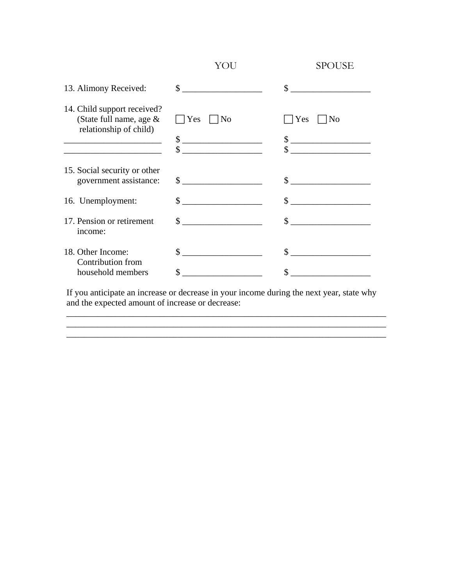|                                                                                  | YOU              | SPOUSE                                               |
|----------------------------------------------------------------------------------|------------------|------------------------------------------------------|
| 13. Alimony Received:                                                            | $\sim$           | $\sim$                                               |
| 14. Child support received?<br>(State full name, age &<br>relationship of child) | Yes<br> No<br>\$ | Yes<br>N <sub>0</sub><br>$\frac{\text{S}}{\text{S}}$ |
| the control of the control of the control of the control of the control of       | \$               |                                                      |
| 15. Social security or other<br>government assistance:                           | $\sim$           |                                                      |
| 16. Unemployment:                                                                |                  |                                                      |
| 17. Pension or retirement<br>income:                                             | $\mathbb{S}$     | $\sim$                                               |
| 18. Other Income:                                                                | \$               |                                                      |
| Contribution from<br>household members                                           | \$               |                                                      |

If you anticipate an increase or decrease in your income during the next year, state why and the expected amount of increase or decrease:

\_\_\_\_\_\_\_\_\_\_\_\_\_\_\_\_\_\_\_\_\_\_\_\_\_\_\_\_\_\_\_\_\_\_\_\_\_\_\_\_\_\_\_\_\_\_\_\_\_\_\_\_\_\_\_\_\_\_\_\_\_\_\_\_\_\_\_\_\_\_\_\_ \_\_\_\_\_\_\_\_\_\_\_\_\_\_\_\_\_\_\_\_\_\_\_\_\_\_\_\_\_\_\_\_\_\_\_\_\_\_\_\_\_\_\_\_\_\_\_\_\_\_\_\_\_\_\_\_\_\_\_\_\_\_\_\_\_\_\_\_\_\_\_\_

\_\_\_\_\_\_\_\_\_\_\_\_\_\_\_\_\_\_\_\_\_\_\_\_\_\_\_\_\_\_\_\_\_\_\_\_\_\_\_\_\_\_\_\_\_\_\_\_\_\_\_\_\_\_\_\_\_\_\_\_\_\_\_\_\_\_\_\_\_\_\_\_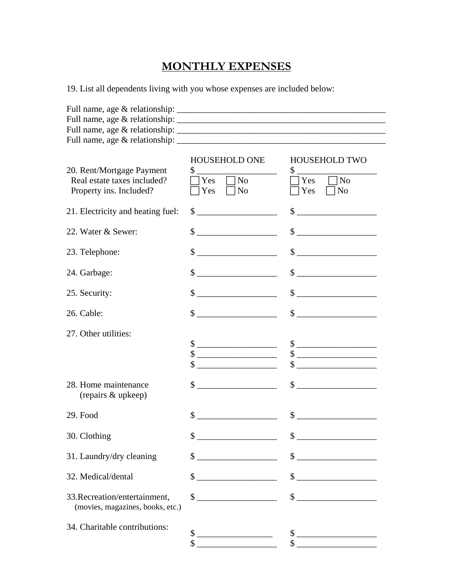# **MONTHLY EXPENSES**

19. List all dependents living with you whose expenses are included below:

| 20. Rent/Mortgage Payment<br>Real estate taxes included?<br>Property ins. Included? | <b>HOUSEHOLD ONE</b><br>$\Box$ No<br>Yes<br>$\neg$ No<br>Yes                                                                                                                                                                                                                                                                                                                                                                                                                                                                              | <b>HOUSEHOLD TWO</b><br>$\sim$<br>N <sub>o</sub><br>Yes<br>N <sub>o</sub><br>Yes                                                                                                                                                                                                                                    |
|-------------------------------------------------------------------------------------|-------------------------------------------------------------------------------------------------------------------------------------------------------------------------------------------------------------------------------------------------------------------------------------------------------------------------------------------------------------------------------------------------------------------------------------------------------------------------------------------------------------------------------------------|---------------------------------------------------------------------------------------------------------------------------------------------------------------------------------------------------------------------------------------------------------------------------------------------------------------------|
| 21. Electricity and heating fuel:                                                   | \$                                                                                                                                                                                                                                                                                                                                                                                                                                                                                                                                        | \$                                                                                                                                                                                                                                                                                                                  |
| 22. Water & Sewer:                                                                  | $\frac{1}{2}$                                                                                                                                                                                                                                                                                                                                                                                                                                                                                                                             | $\frac{1}{2}$ $\frac{1}{2}$ $\frac{1}{2}$ $\frac{1}{2}$ $\frac{1}{2}$ $\frac{1}{2}$ $\frac{1}{2}$ $\frac{1}{2}$ $\frac{1}{2}$ $\frac{1}{2}$ $\frac{1}{2}$ $\frac{1}{2}$ $\frac{1}{2}$ $\frac{1}{2}$ $\frac{1}{2}$ $\frac{1}{2}$ $\frac{1}{2}$ $\frac{1}{2}$ $\frac{1}{2}$ $\frac{1}{2}$ $\frac{1}{2}$ $\frac{1}{2}$ |
| 23. Telephone:                                                                      |                                                                                                                                                                                                                                                                                                                                                                                                                                                                                                                                           | $\frac{1}{1}$                                                                                                                                                                                                                                                                                                       |
| 24. Garbage:                                                                        |                                                                                                                                                                                                                                                                                                                                                                                                                                                                                                                                           | $\qquad \qquad \  \, {\sf S} \underline{\hspace{1.5cm}} \underline{\hspace{1.5cm}}$                                                                                                                                                                                                                                 |
| 25. Security:                                                                       | $\frac{1}{2}$ $\frac{1}{2}$ $\frac{1}{2}$ $\frac{1}{2}$ $\frac{1}{2}$ $\frac{1}{2}$ $\frac{1}{2}$ $\frac{1}{2}$ $\frac{1}{2}$ $\frac{1}{2}$ $\frac{1}{2}$ $\frac{1}{2}$ $\frac{1}{2}$ $\frac{1}{2}$ $\frac{1}{2}$ $\frac{1}{2}$ $\frac{1}{2}$ $\frac{1}{2}$ $\frac{1}{2}$ $\frac{1}{2}$ $\frac{1}{2}$ $\frac{1}{2}$                                                                                                                                                                                                                       | $\qquad \qquad \text{\normalsize $s$} \underline{\qquad \qquad }$                                                                                                                                                                                                                                                   |
| 26. Cable:                                                                          |                                                                                                                                                                                                                                                                                                                                                                                                                                                                                                                                           |                                                                                                                                                                                                                                                                                                                     |
| 27. Other utilities:                                                                | $\mathbb{S}$<br>$\qquad \qquad \, \text{\bf $s$}\underline{\hspace{10mm}} \qquad \qquad \qquad \, \text{\bf $s$}\underline{\hspace{10mm}} \qquad \qquad \qquad \, \text{\bf $s$}\underline{\hspace{10mm}} \qquad \qquad \qquad \qquad \, \text{\bf $s$}\underline{\hspace{10mm}} \qquad \qquad \qquad \qquad \, \text{\bf $s$}\underline{\hspace{10mm}} \qquad \qquad \qquad \qquad \qquad \, \text{\bf $s$}\underline{\hspace{10mm}} \qquad \qquad \qquad \qquad \qquad \qquad \, \text{\bf $s$}\underline{\hspace{10mm}} \qquad \qquad$ | $\qquad \qquad \  \, {\sf S} \underline{\hspace{1.5cm}} \underline{\hspace{1.5cm}}$<br>$\qquad \qquad \, \text{\bf $s$}\; \underline{\hspace{10mm}}$<br><u> 1989 - Johann Barbara, martin a</u>                                                                                                                     |
| 28. Home maintenance<br>(repairs & upkeep)                                          | $\frac{1}{2}$ $\frac{1}{2}$ $\frac{1}{2}$ $\frac{1}{2}$ $\frac{1}{2}$ $\frac{1}{2}$ $\frac{1}{2}$ $\frac{1}{2}$ $\frac{1}{2}$ $\frac{1}{2}$ $\frac{1}{2}$ $\frac{1}{2}$ $\frac{1}{2}$ $\frac{1}{2}$ $\frac{1}{2}$ $\frac{1}{2}$ $\frac{1}{2}$ $\frac{1}{2}$ $\frac{1}{2}$ $\frac{1}{2}$ $\frac{1}{2}$ $\frac{1}{2}$                                                                                                                                                                                                                       | $\qquad \qquad \, \text{\bf \$} \text{\bf \underline{}}$                                                                                                                                                                                                                                                            |
| 29. Food                                                                            | \$                                                                                                                                                                                                                                                                                                                                                                                                                                                                                                                                        | \$<br><u> 1980 - Jan Stein Stein Stein Stein Stein Stein Stein Stein Stein Stein Stein Stein Stein Stein Stein Stein S</u>                                                                                                                                                                                          |
| 30. Clothing                                                                        | \$                                                                                                                                                                                                                                                                                                                                                                                                                                                                                                                                        | \$                                                                                                                                                                                                                                                                                                                  |
| 31. Laundry/dry cleaning                                                            | \$                                                                                                                                                                                                                                                                                                                                                                                                                                                                                                                                        | $\frac{1}{2}$ $\frac{1}{2}$ $\frac{1}{2}$ $\frac{1}{2}$ $\frac{1}{2}$ $\frac{1}{2}$ $\frac{1}{2}$ $\frac{1}{2}$ $\frac{1}{2}$ $\frac{1}{2}$ $\frac{1}{2}$ $\frac{1}{2}$ $\frac{1}{2}$ $\frac{1}{2}$ $\frac{1}{2}$ $\frac{1}{2}$ $\frac{1}{2}$ $\frac{1}{2}$ $\frac{1}{2}$ $\frac{1}{2}$ $\frac{1}{2}$ $\frac{1}{2}$ |
| 32. Medical/dental                                                                  | \$                                                                                                                                                                                                                                                                                                                                                                                                                                                                                                                                        | $\frac{1}{2}$                                                                                                                                                                                                                                                                                                       |
| 33. Recreation/entertainment,<br>(movies, magazines, books, etc.)                   |                                                                                                                                                                                                                                                                                                                                                                                                                                                                                                                                           | $\text{\$}$                                                                                                                                                                                                                                                                                                         |
| 34. Charitable contributions:                                                       | \$                                                                                                                                                                                                                                                                                                                                                                                                                                                                                                                                        |                                                                                                                                                                                                                                                                                                                     |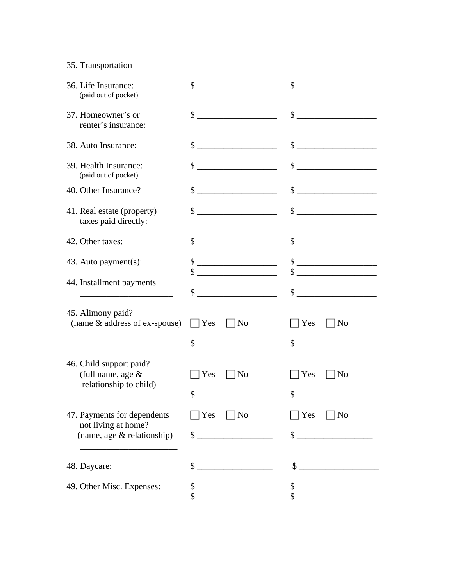## 35. Transportation

| 36. Life Insurance:<br>(paid out of pocket)                                      | \$<br><u> 1990 - Johann Barbara, martin a</u>                                                                                                                                                                                                                                                                       | $\frac{1}{2}$ $\frac{1}{2}$ $\frac{1}{2}$ $\frac{1}{2}$ $\frac{1}{2}$ $\frac{1}{2}$ $\frac{1}{2}$ $\frac{1}{2}$ $\frac{1}{2}$ $\frac{1}{2}$ $\frac{1}{2}$ $\frac{1}{2}$ $\frac{1}{2}$ $\frac{1}{2}$ $\frac{1}{2}$ $\frac{1}{2}$ $\frac{1}{2}$ $\frac{1}{2}$ $\frac{1}{2}$ $\frac{1}{2}$ $\frac{1}{2}$ $\frac{1}{2}$                                 |
|----------------------------------------------------------------------------------|---------------------------------------------------------------------------------------------------------------------------------------------------------------------------------------------------------------------------------------------------------------------------------------------------------------------|-----------------------------------------------------------------------------------------------------------------------------------------------------------------------------------------------------------------------------------------------------------------------------------------------------------------------------------------------------|
| 37. Homeowner's or<br>renter's insurance:                                        | \$                                                                                                                                                                                                                                                                                                                  | $\qquad \qquad \  \, {\sf S} \underline{\hspace{1.5cm}} \underline{\hspace{1.5cm}}$                                                                                                                                                                                                                                                                 |
| 38. Auto Insurance:                                                              | $\frac{1}{2}$ $\frac{1}{2}$ $\frac{1}{2}$ $\frac{1}{2}$ $\frac{1}{2}$ $\frac{1}{2}$ $\frac{1}{2}$ $\frac{1}{2}$ $\frac{1}{2}$ $\frac{1}{2}$ $\frac{1}{2}$ $\frac{1}{2}$ $\frac{1}{2}$ $\frac{1}{2}$ $\frac{1}{2}$ $\frac{1}{2}$ $\frac{1}{2}$ $\frac{1}{2}$ $\frac{1}{2}$ $\frac{1}{2}$ $\frac{1}{2}$ $\frac{1}{2}$ | $\frac{1}{2}$ $\frac{1}{2}$ $\frac{1}{2}$ $\frac{1}{2}$ $\frac{1}{2}$ $\frac{1}{2}$ $\frac{1}{2}$ $\frac{1}{2}$ $\frac{1}{2}$ $\frac{1}{2}$ $\frac{1}{2}$ $\frac{1}{2}$ $\frac{1}{2}$ $\frac{1}{2}$ $\frac{1}{2}$ $\frac{1}{2}$ $\frac{1}{2}$ $\frac{1}{2}$ $\frac{1}{2}$ $\frac{1}{2}$ $\frac{1}{2}$ $\frac{1}{2}$                                 |
| 39. Health Insurance:<br>(paid out of pocket)                                    | $\frac{1}{2}$ $\frac{1}{2}$ $\frac{1}{2}$ $\frac{1}{2}$ $\frac{1}{2}$ $\frac{1}{2}$ $\frac{1}{2}$ $\frac{1}{2}$ $\frac{1}{2}$ $\frac{1}{2}$ $\frac{1}{2}$ $\frac{1}{2}$ $\frac{1}{2}$ $\frac{1}{2}$ $\frac{1}{2}$ $\frac{1}{2}$ $\frac{1}{2}$ $\frac{1}{2}$ $\frac{1}{2}$ $\frac{1}{2}$ $\frac{1}{2}$ $\frac{1}{2}$ | $\frac{1}{2}$                                                                                                                                                                                                                                                                                                                                       |
| 40. Other Insurance?                                                             | $\frac{1}{2}$ $\frac{1}{2}$ $\frac{1}{2}$ $\frac{1}{2}$ $\frac{1}{2}$ $\frac{1}{2}$ $\frac{1}{2}$ $\frac{1}{2}$ $\frac{1}{2}$ $\frac{1}{2}$ $\frac{1}{2}$ $\frac{1}{2}$ $\frac{1}{2}$ $\frac{1}{2}$ $\frac{1}{2}$ $\frac{1}{2}$ $\frac{1}{2}$ $\frac{1}{2}$ $\frac{1}{2}$ $\frac{1}{2}$ $\frac{1}{2}$ $\frac{1}{2}$ |                                                                                                                                                                                                                                                                                                                                                     |
| 41. Real estate (property)<br>taxes paid directly:                               | $\frac{1}{2}$ $\frac{1}{2}$ $\frac{1}{2}$ $\frac{1}{2}$ $\frac{1}{2}$ $\frac{1}{2}$ $\frac{1}{2}$ $\frac{1}{2}$ $\frac{1}{2}$ $\frac{1}{2}$ $\frac{1}{2}$ $\frac{1}{2}$ $\frac{1}{2}$ $\frac{1}{2}$ $\frac{1}{2}$ $\frac{1}{2}$ $\frac{1}{2}$ $\frac{1}{2}$ $\frac{1}{2}$ $\frac{1}{2}$ $\frac{1}{2}$ $\frac{1}{2}$ | $\qquad \qquad \, \textcolor{red}{\textbf{\$}}\textcolor{red}{\textbf{\_}}$                                                                                                                                                                                                                                                                         |
| 42. Other taxes:                                                                 | $\frac{\text{S}}{\text{S}}$                                                                                                                                                                                                                                                                                         | $\sim$                                                                                                                                                                                                                                                                                                                                              |
| 43. Auto payment(s):                                                             | $\begin{array}{c c}\n\text{S} & \text{S}\n\end{array}$                                                                                                                                                                                                                                                              | $\frac{1}{2}$<br>$\text{\$}$                                                                                                                                                                                                                                                                                                                        |
| 44. Installment payments                                                         |                                                                                                                                                                                                                                                                                                                     | $\begin{picture}(20,10) \put(0,0){\line(1,0){10}} \put(15,0){\line(1,0){10}} \put(15,0){\line(1,0){10}} \put(15,0){\line(1,0){10}} \put(15,0){\line(1,0){10}} \put(15,0){\line(1,0){10}} \put(15,0){\line(1,0){10}} \put(15,0){\line(1,0){10}} \put(15,0){\line(1,0){10}} \put(15,0){\line(1,0){10}} \put(15,0){\line(1,0){10}} \put(15,0){\line(1$ |
| 45. Alimony paid?<br>(name & address of ex-spouse)                               | $\Box$ Yes<br>$\vert$  No                                                                                                                                                                                                                                                                                           | $\bigcap$ Yes<br>N <sub>o</sub><br>$\sim$                                                                                                                                                                                                                                                                                                           |
| 46. Child support paid?<br>(full name, age $&$<br>relationship to child)         | $\neg$ No<br>Yes<br>\$                                                                                                                                                                                                                                                                                              | Yes<br>N <sub>o</sub>                                                                                                                                                                                                                                                                                                                               |
| 47. Payments for dependents<br>not living at home?<br>(name, age & relationship) | Yes<br>$\Box$ No<br>\$                                                                                                                                                                                                                                                                                              | Yes<br>  No<br>\$                                                                                                                                                                                                                                                                                                                                   |
| 48. Daycare:                                                                     | \$                                                                                                                                                                                                                                                                                                                  | \$                                                                                                                                                                                                                                                                                                                                                  |
| 49. Other Misc. Expenses:                                                        | \$<br>\$                                                                                                                                                                                                                                                                                                            | $\mathsf S$ .                                                                                                                                                                                                                                                                                                                                       |